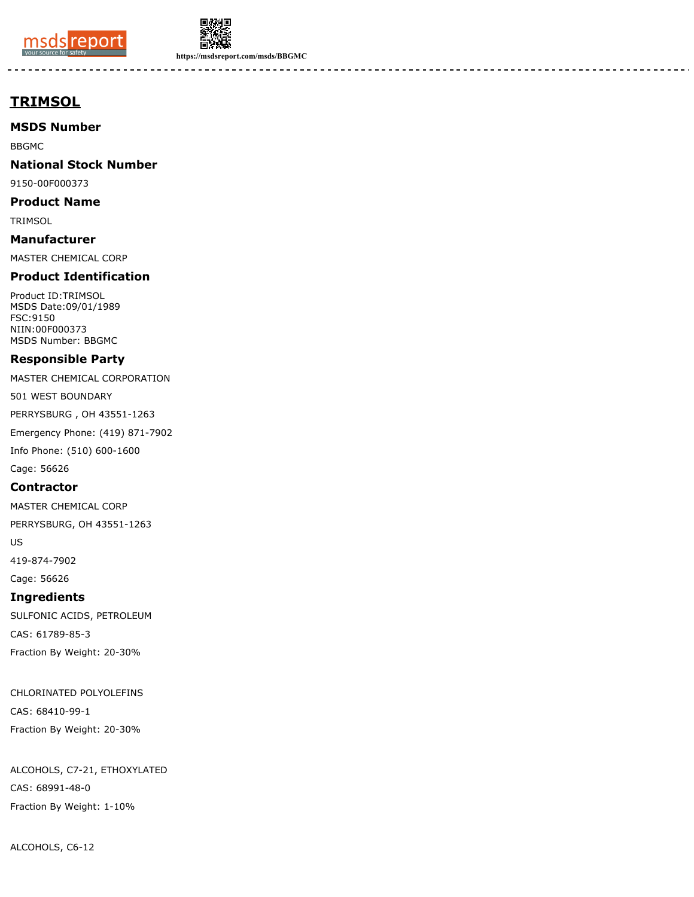



**https://msdsreport.com/msds/BBGMC**

# **TRIMSOL**

**MSDS Number**

BBGMC

**National Stock Number**

9150-00F000373

**Product Name**

**TRIMSOL** 

**Manufacturer** MASTER CHEMICAL CORP

#### **Product Identification**

Product ID:TRIMSOL MSDS Date:09/01/1989 FSC:9150 NIIN:00F000373 MSDS Number: BBGMC

#### **Responsible Party**

MASTER CHEMICAL CORPORATION

501 WEST BOUNDARY

PERRYSBURG , OH 43551-1263

Emergency Phone: (419) 871-7902

Info Phone: (510) 600-1600

Cage: 56626

**Contractor**

MASTER CHEMICAL CORP

PERRYSBURG, OH 43551-1263

US

419-874-7902

Cage: 56626

#### **Ingredients**

SULFONIC ACIDS, PETROLEUM CAS: 61789-85-3 Fraction By Weight: 20-30%

CHLORINATED POLYOLEFINS CAS: 68410-99-1 Fraction By Weight: 20-30%

ALCOHOLS, C7-21, ETHOXYLATED CAS: 68991-48-0 Fraction By Weight: 1-10%

ALCOHOLS, C6-12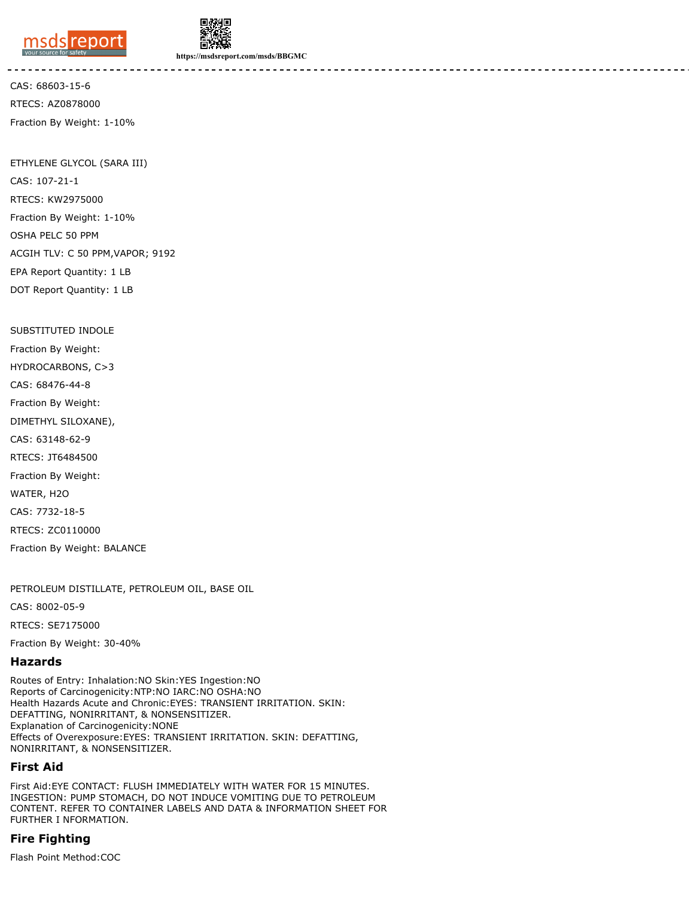



**https://msdsreport.com/msds/BBGMC**

CAS: 68603-15-6 RTECS: AZ0878000 Fraction By Weight: 1-10%

ETHYLENE GLYCOL (SARA III) CAS: 107-21-1 RTECS: KW2975000 Fraction By Weight: 1-10% OSHA PELC 50 PPM ACGIH TLV: C 50 PPM,VAPOR; 9192 EPA Report Quantity: 1 LB DOT Report Quantity: 1 LB

SUBSTITUTED INDOLE

Fraction By Weight:

HYDROCARBONS, C>3

CAS: 68476-44-8

Fraction By Weight:

DIMETHYL SILOXANE),

CAS: 63148-62-9

RTECS: JT6484500

Fraction By Weight:

WATER, H2O

CAS: 7732-18-5

RTECS: ZC0110000

Fraction By Weight: BALANCE

PETROLEUM DISTILLATE, PETROLEUM OIL, BASE OIL

CAS: 8002-05-9

RTECS: SE7175000

Fraction By Weight: 30-40%

#### **Hazards**

Routes of Entry: Inhalation:NO Skin:YES Ingestion:NO Reports of Carcinogenicity:NTP:NO IARC:NO OSHA:NO Health Hazards Acute and Chronic:EYES: TRANSIENT IRRITATION. SKIN: DEFATTING, NONIRRITANT, & NONSENSITIZER. Explanation of Carcinogenicity:NONE Effects of Overexposure:EYES: TRANSIENT IRRITATION. SKIN: DEFATTING, NONIRRITANT, & NONSENSITIZER.

## **First Aid**

First Aid:EYE CONTACT: FLUSH IMMEDIATELY WITH WATER FOR 15 MINUTES. INGESTION: PUMP STOMACH, DO NOT INDUCE VOMITING DUE TO PETROLEUM CONTENT. REFER TO CONTAINER LABELS AND DATA & INFORMATION SHEET FOR FURTHER I NFORMATION.

## **Fire Fighting**

Flash Point Method:COC